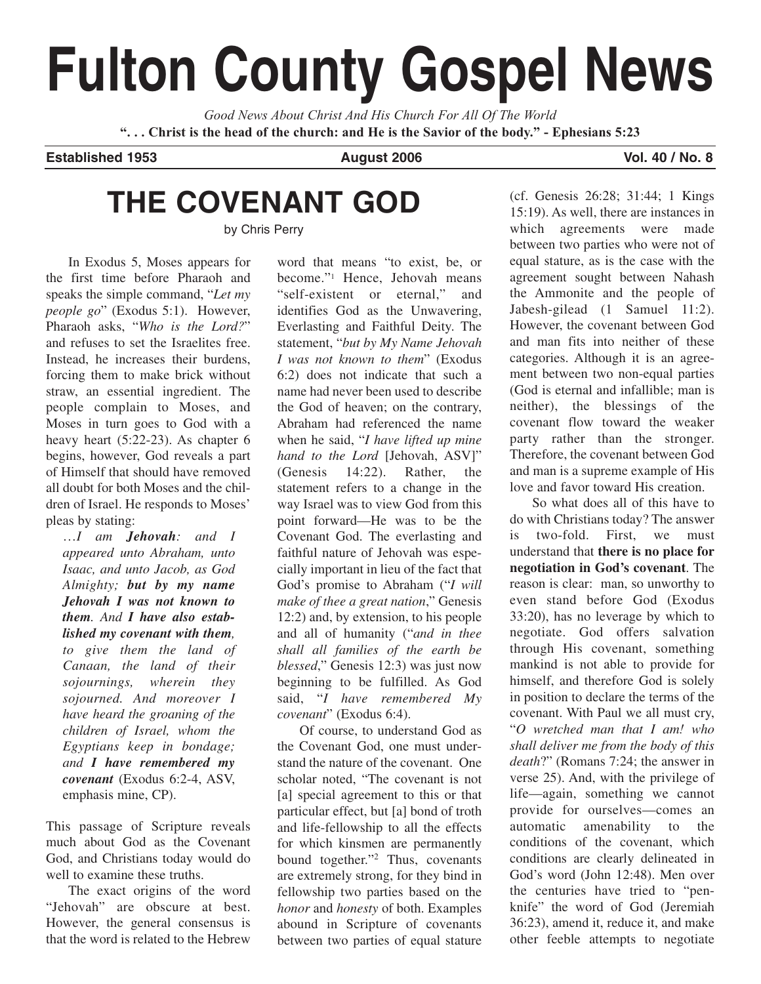# **Fulton County Gospel News**

*Good News About Christ And His Church For All Of The World* **". . . Christ is the head of the church: and He is the Savior of the body." - Ephesians 5:23**

**Established 1953 August 2006 Vol. 40 / No. 8**

## **THE COVENANT GOD**

by Chris Perry

In Exodus 5, Moses appears for the first time before Pharaoh and speaks the simple command, "*Let my people go*" (Exodus 5:1). However, Pharaoh asks, "*Who is the Lord?*" and refuses to set the Israelites free. Instead, he increases their burdens, forcing them to make brick without straw, an essential ingredient. The people complain to Moses, and Moses in turn goes to God with a heavy heart (5:22-23). As chapter 6 begins, however, God reveals a part of Himself that should have removed all doubt for both Moses and the children of Israel. He responds to Moses' pleas by stating:

…*I am Jehovah: and I appeared unto Abraham, unto Isaac, and unto Jacob, as God Almighty; but by my name Jehovah I was not known to them. And I have also established my covenant with them, to give them the land of Canaan, the land of their sojournings, wherein they sojourned. And moreover I have heard the groaning of the children of Israel, whom the Egyptians keep in bondage; and I have remembered my covenant* (Exodus 6:2-4, ASV, emphasis mine, CP).

This passage of Scripture reveals much about God as the Covenant God, and Christians today would do well to examine these truths.

The exact origins of the word "Jehovah" are obscure at best. However, the general consensus is that the word is related to the Hebrew

word that means "to exist, be, or become."1 Hence, Jehovah means "self-existent or eternal," and identifies God as the Unwavering, Everlasting and Faithful Deity. The statement, "*but by My Name Jehovah I was not known to them*" (Exodus 6:2) does not indicate that such a name had never been used to describe the God of heaven; on the contrary, Abraham had referenced the name when he said, "*I have lifted up mine hand to the Lord* [Jehovah, ASV]" (Genesis 14:22). Rather, the statement refers to a change in the way Israel was to view God from this point forward—He was to be the Covenant God. The everlasting and faithful nature of Jehovah was especially important in lieu of the fact that God's promise to Abraham ("*I will make of thee a great nation*," Genesis 12:2) and, by extension, to his people and all of humanity ("*and in thee shall all families of the earth be blessed*," Genesis 12:3) was just now beginning to be fulfilled. As God said, "*I have remembered My covenant*" (Exodus 6:4).

Of course, to understand God as the Covenant God, one must understand the nature of the covenant. One scholar noted, "The covenant is not [a] special agreement to this or that particular effect, but [a] bond of troth and life-fellowship to all the effects for which kinsmen are permanently bound together."2 Thus, covenants are extremely strong, for they bind in fellowship two parties based on the *honor* and *honesty* of both. Examples abound in Scripture of covenants between two parties of equal stature

(cf. Genesis 26:28; 31:44; 1 Kings 15:19). As well, there are instances in which agreements were made between two parties who were not of equal stature, as is the case with the agreement sought between Nahash the Ammonite and the people of Jabesh-gilead (1 Samuel 11:2). However, the covenant between God and man fits into neither of these categories. Although it is an agreement between two non-equal parties (God is eternal and infallible; man is neither), the blessings of the covenant flow toward the weaker party rather than the stronger. Therefore, the covenant between God and man is a supreme example of His love and favor toward His creation.

So what does all of this have to do with Christians today? The answer is two-fold. First, we must understand that **there is no place for negotiation in God's covenant**. The reason is clear: man, so unworthy to even stand before God (Exodus 33:20), has no leverage by which to negotiate. God offers salvation through His covenant, something mankind is not able to provide for himself, and therefore God is solely in position to declare the terms of the covenant. With Paul we all must cry, "*O wretched man that I am! who shall deliver me from the body of this death*?" (Romans 7:24; the answer in verse 25). And, with the privilege of life—again, something we cannot provide for ourselves—comes an automatic amenability to the conditions of the covenant, which conditions are clearly delineated in God's word (John 12:48). Men over the centuries have tried to "penknife" the word of God (Jeremiah 36:23), amend it, reduce it, and make other feeble attempts to negotiate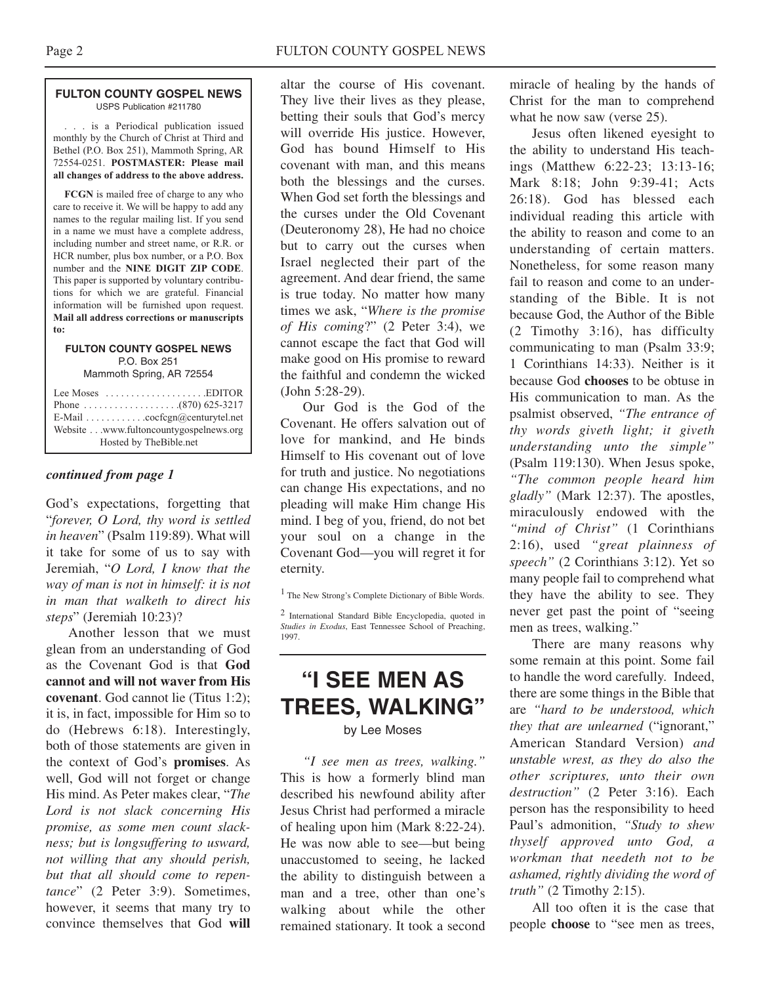### **FULTON COUNTY GOSPEL NEWS** USPS Publication #211780

. . . is a Periodical publication issued monthly by the Church of Christ at Third and Bethel (P.O. Box 251), Mammoth Spring, AR 72554-0251. **POSTMASTER: Please mail all changes of address to the above address.**

**FCGN** is mailed free of charge to any who care to receive it. We will be happy to add any names to the regular mailing list. If you send in a name we must have a complete address, including number and street name, or R.R. or HCR number, plus box number, or a P.O. Box number and the **NINE DIGIT ZIP CODE**. This paper is supported by voluntary contributions for which we are grateful. Financial information will be furnished upon request. **Mail all address corrections or manuscripts to:**

### **FULTON COUNTY GOSPEL NEWS** P.O. Box 251

Mammoth Spring, AR 72554

| Lee Moses $\dots \dots \dots \dots \dots$ . EDITOR |
|----------------------------------------------------|
|                                                    |
| E-Mail cocfcgn@centurytel.net                      |
| Website www.fultoncountygospelnews.org             |
| Hosted by TheBible.net                             |

## *continued from page 1*

God's expectations, forgetting that "*forever, O Lord, thy word is settled in heaven*" (Psalm 119:89). What will it take for some of us to say with Jeremiah, "*O Lord, I know that the way of man is not in himself: it is not in man that walketh to direct his steps*" (Jeremiah 10:23)?

Another lesson that we must glean from an understanding of God as the Covenant God is that **God cannot and will not waver from His covenant**. God cannot lie (Titus 1:2); it is, in fact, impossible for Him so to do (Hebrews 6:18). Interestingly, both of those statements are given in the context of God's **promises**. As well, God will not forget or change His mind. As Peter makes clear, "*The Lord is not slack concerning His promise, as some men count slackness; but is longsuffering to usward, not willing that any should perish, but that all should come to repentance*" (2 Peter 3:9). Sometimes, however, it seems that many try to convince themselves that God **will**

altar the course of His covenant. They live their lives as they please, betting their souls that God's mercy will override His justice. However, God has bound Himself to His covenant with man, and this means both the blessings and the curses. When God set forth the blessings and the curses under the Old Covenant (Deuteronomy 28), He had no choice but to carry out the curses when Israel neglected their part of the agreement. And dear friend, the same is true today. No matter how many times we ask, "*Where is the promise of His coming*?" (2 Peter 3:4), we cannot escape the fact that God will make good on His promise to reward the faithful and condemn the wicked (John 5:28-29).

Our God is the God of the Covenant. He offers salvation out of love for mankind, and He binds Himself to His covenant out of love for truth and justice. No negotiations can change His expectations, and no pleading will make Him change His mind. I beg of you, friend, do not bet your soul on a change in the Covenant God—you will regret it for eternity.

<sup>1</sup> The New Strong's Complete Dictionary of Bible Words.

<sup>2</sup> International Standard Bible Encyclopedia, quoted in *Studies in Exodus*, East Tennessee School of Preaching, 1997.

## **"I SEE MEN AS TREES, WALKING"**

by Lee Moses

*"I see men as trees, walking."* This is how a formerly blind man described his newfound ability after Jesus Christ had performed a miracle of healing upon him (Mark 8:22-24). He was now able to see—but being unaccustomed to seeing, he lacked the ability to distinguish between a man and a tree, other than one's walking about while the other remained stationary. It took a second miracle of healing by the hands of Christ for the man to comprehend what he now saw (verse 25).

Jesus often likened eyesight to the ability to understand His teachings (Matthew 6:22-23; 13:13-16; Mark 8:18; John 9:39-41; Acts 26:18). God has blessed each individual reading this article with the ability to reason and come to an understanding of certain matters. Nonetheless, for some reason many fail to reason and come to an understanding of the Bible. It is not because God, the Author of the Bible (2 Timothy 3:16), has difficulty communicating to man (Psalm 33:9; 1 Corinthians 14:33). Neither is it because God **chooses** to be obtuse in His communication to man. As the psalmist observed, *"The entrance of thy words giveth light; it giveth understanding unto the simple"* (Psalm 119:130). When Jesus spoke, *"The common people heard him gladly"* (Mark 12:37). The apostles, miraculously endowed with the *"mind of Christ"* (1 Corinthians 2:16), used *"great plainness of speech"* (2 Corinthians 3:12). Yet so many people fail to comprehend what they have the ability to see. They never get past the point of "seeing men as trees, walking."

There are many reasons why some remain at this point. Some fail to handle the word carefully. Indeed, there are some things in the Bible that are *"hard to be understood, which they that are unlearned* ("ignorant," American Standard Version) *and unstable wrest, as they do also the other scriptures, unto their own destruction"* (2 Peter 3:16). Each person has the responsibility to heed Paul's admonition, *"Study to shew thyself approved unto God, a workman that needeth not to be ashamed, rightly dividing the word of truth"* (2 Timothy 2:15).

All too often it is the case that people **choose** to "see men as trees,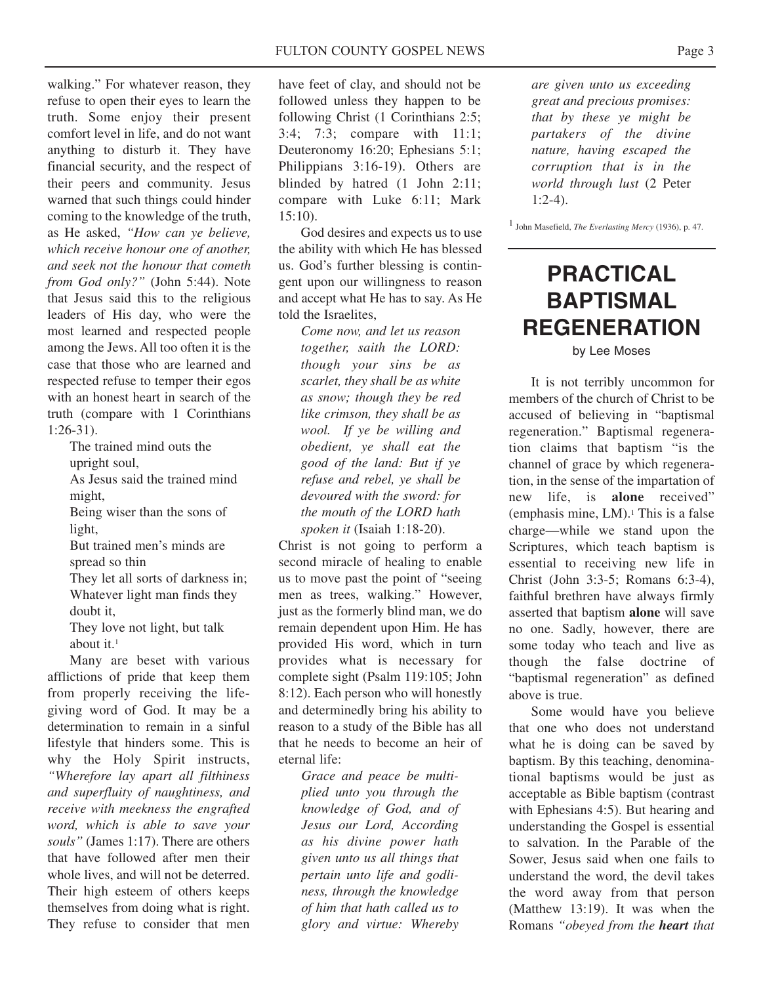walking." For whatever reason, they refuse to open their eyes to learn the truth. Some enjoy their present comfort level in life, and do not want anything to disturb it. They have financial security, and the respect of their peers and community. Jesus warned that such things could hinder coming to the knowledge of the truth, as He asked, *"How can ye believe, which receive honour one of another, and seek not the honour that cometh from God only?"* (John 5:44). Note that Jesus said this to the religious leaders of His day, who were the most learned and respected people among the Jews. All too often it is the case that those who are learned and respected refuse to temper their egos with an honest heart in search of the truth (compare with 1 Corinthians 1:26-31).

> The trained mind outs the upright soul,

As Jesus said the trained mind might,

Being wiser than the sons of light,

But trained men's minds are spread so thin

They let all sorts of darkness in; Whatever light man finds they doubt it,

They love not light, but talk about it.1

Many are beset with various afflictions of pride that keep them from properly receiving the lifegiving word of God. It may be a determination to remain in a sinful lifestyle that hinders some. This is why the Holy Spirit instructs, *"Wherefore lay apart all filthiness and superfluity of naughtiness, and receive with meekness the engrafted word, which is able to save your souls"* (James 1:17). There are others that have followed after men their whole lives, and will not be deterred. Their high esteem of others keeps themselves from doing what is right. They refuse to consider that men

have feet of clay, and should not be followed unless they happen to be following Christ (1 Corinthians 2:5; 3:4; 7:3; compare with 11:1; Deuteronomy 16:20; Ephesians 5:1; Philippians 3:16-19). Others are blinded by hatred (1 John 2:11; compare with Luke 6:11; Mark 15:10).

God desires and expects us to use the ability with which He has blessed us. God's further blessing is contingent upon our willingness to reason and accept what He has to say. As He told the Israelites,

> *Come now, and let us reason together, saith the LORD: though your sins be as scarlet, they shall be as white as snow; though they be red like crimson, they shall be as wool. If ye be willing and obedient, ye shall eat the good of the land: But if ye refuse and rebel, ye shall be devoured with the sword: for the mouth of the LORD hath spoken it* (Isaiah 1:18-20).

Christ is not going to perform a second miracle of healing to enable us to move past the point of "seeing men as trees, walking." However, just as the formerly blind man, we do remain dependent upon Him. He has provided His word, which in turn provides what is necessary for complete sight (Psalm 119:105; John 8:12). Each person who will honestly and determinedly bring his ability to reason to a study of the Bible has all that he needs to become an heir of eternal life:

> *Grace and peace be multiplied unto you through the knowledge of God, and of Jesus our Lord, According as his divine power hath given unto us all things that pertain unto life and godliness, through the knowledge of him that hath called us to glory and virtue: Whereby*

*are given unto us exceeding great and precious promises: that by these ye might be partakers of the divine nature, having escaped the corruption that is in the world through lust* (2 Peter 1:2-4).

1 John Masefield, *The Everlasting Mercy* (1936), p. 47.

## **PRACTICAL BAPTISMAL REGENERATION**

by Lee Moses

It is not terribly uncommon for members of the church of Christ to be accused of believing in "baptismal regeneration." Baptismal regeneration claims that baptism "is the channel of grace by which regeneration, in the sense of the impartation of new life, is **alone** received" (emphasis mine,  $LM$ ).<sup>1</sup> This is a false charge—while we stand upon the Scriptures, which teach baptism is essential to receiving new life in Christ (John 3:3-5; Romans 6:3-4), faithful brethren have always firmly asserted that baptism **alone** will save no one. Sadly, however, there are some today who teach and live as though the false doctrine of "baptismal regeneration" as defined above is true.

Some would have you believe that one who does not understand what he is doing can be saved by baptism. By this teaching, denominational baptisms would be just as acceptable as Bible baptism (contrast with Ephesians 4:5). But hearing and understanding the Gospel is essential to salvation. In the Parable of the Sower, Jesus said when one fails to understand the word, the devil takes the word away from that person (Matthew 13:19). It was when the Romans *"obeyed from the heart that*